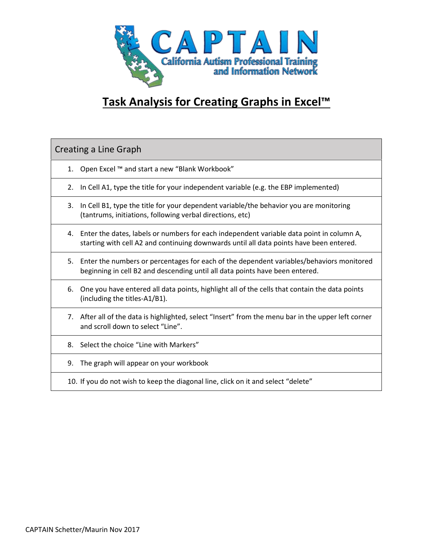

## **Task Analysis for Creating Graphs in Excel™**

Creating a Line Graph

- 1. Open Excel ™ and start a new "Blank Workbook"
- 2. In Cell A1, type the title for your independent variable (e.g. the EBP implemented)
- 3. In Cell B1, type the title for your dependent variable/the behavior you are monitoring (tantrums, initiations, following verbal directions, etc)
- 4. Enter the dates, labels or numbers for each independent variable data point in column A, starting with cell A2 and continuing downwards until all data points have been entered.
- 5. Enter the numbers or percentages for each of the dependent variables/behaviors monitored beginning in cell B2 and descending until all data points have been entered.
- 6. One you have entered all data points, highlight all of the cells that contain the data points (including the titles-A1/B1).
- 7. After all of the data is highlighted, select "Insert" from the menu bar in the upper left corner and scroll down to select "Line".
- 8. Select the choice "Line with Markers"
- 9. The graph will appear on your workbook
- 10. If you do not wish to keep the diagonal line, click on it and select "delete"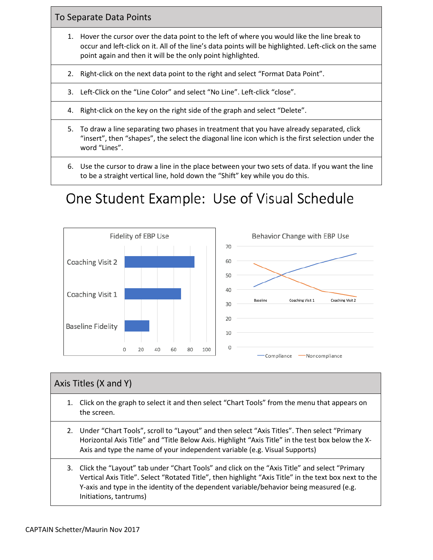To Separate Data Points

- 1. Hover the cursor over the data point to the left of where you would like the line break to occur and left-click on it. All of the line's data points will be highlighted. Left-click on the same point again and then it will be the only point highlighted.
- 2. Right-click on the next data point to the right and select "Format Data Point".

3. Left-Click on the "Line Color" and select "No Line". Left-click "close".

- 4. Right-click on the key on the right side of the graph and select "Delete".
- 5. To draw a line separating two phases in treatment that you have already separated, click "insert", then "shapes", the select the diagonal line icon which is the first selection under the word "Lines".
- 6. Use the cursor to draw a line in the place between your two sets of data. If you want the line to be a straight vertical line, hold down the "Shift" key while you do this.

## One Student Example: Use of Visual Schedule



## Axis Titles (X and Y)

- 1. Click on the graph to select it and then select "Chart Tools" from the menu that appears on the screen.
- 2. Under "Chart Tools", scroll to "Layout" and then select "Axis Titles". Then select "Primary Horizontal Axis Title" and "Title Below Axis. Highlight "Axis Title" in the test box below the X-Axis and type the name of your independent variable (e.g. Visual Supports)
- 3. Click the "Layout" tab under "Chart Tools" and click on the "Axis Title" and select "Primary Vertical Axis Title". Select "Rotated Title", then highlight "Axis Title" in the text box next to the Y-axis and type in the identity of the dependent variable/behavior being measured (e.g. Initiations, tantrums)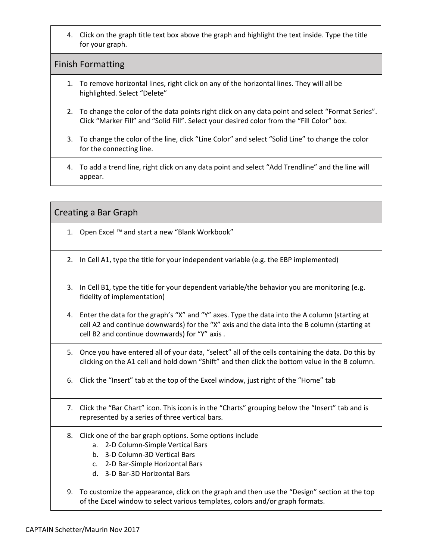4. Click on the graph title text box above the graph and highlight the text inside. Type the title for your graph.

## Finish Formatting

- 1. To remove horizontal lines, right click on any of the horizontal lines. They will all be highlighted. Select "Delete"
- 2. To change the color of the data points right click on any data point and select "Format Series". Click "Marker Fill" and "Solid Fill". Select your desired color from the "Fill Color" box.
- 3. To change the color of the line, click "Line Color" and select "Solid Line" to change the color for the connecting line.
- 4. To add a trend line, right click on any data point and select "Add Trendline" and the line will appear.

Creating a Bar Graph

- 1. Open Excel ™ and start a new "Blank Workbook"
- 2. In Cell A1, type the title for your independent variable (e.g. the EBP implemented)
- 3. In Cell B1, type the title for your dependent variable/the behavior you are monitoring (e.g. fidelity of implementation)
- 4. Enter the data for the graph's "X" and "Y" axes. Type the data into the A column (starting at cell A2 and continue downwards) for the "X" axis and the data into the B column (starting at cell B2 and continue downwards) for "Y" axis .
- 5. Once you have entered all of your data, "select" all of the cells containing the data. Do this by clicking on the A1 cell and hold down "Shift" and then click the bottom value in the B column.
- 6. Click the "Insert" tab at the top of the Excel window, just right of the "Home" tab
- 7. Click the "Bar Chart" icon. This icon is in the "Charts" grouping below the "Insert" tab and is represented by a series of three vertical bars.
- 8. Click one of the bar graph options. Some options include
	- a. 2-D Column-Simple Vertical Bars
	- b. 3-D Column-3D Vertical Bars
	- c. 2-D Bar-Simple Horizontal Bars
	- d. 3-D Bar-3D Horizontal Bars
- 9. To customize the appearance, click on the graph and then use the "Design" section at the top of the Excel window to select various templates, colors and/or graph formats.